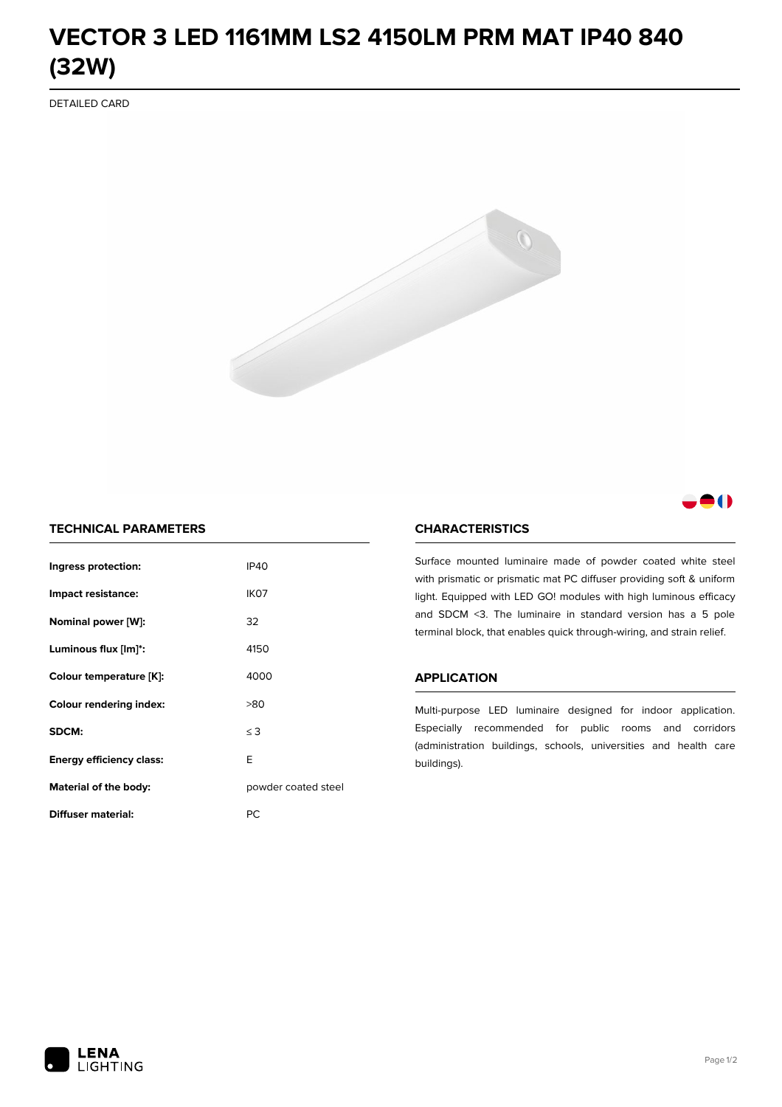# **VECTOR 3 LED 1161MM LS2 4150LM PRM MAT IP40 840 (32W)**

DETAILED CARD



# 80

## **TECHNICAL PARAMETERS**

| Ingress protection:             | <b>IP40</b>         |  |
|---------------------------------|---------------------|--|
| Impact resistance:              | IK <sub>07</sub>    |  |
| Nominal power [W]:              | 32                  |  |
| Luminous flux [lm]*:            | 4150                |  |
| Colour temperature [K]:         | 4000                |  |
| <b>Colour rendering index:</b>  | >80                 |  |
| SDCM:                           | $\leq$ 3            |  |
| <b>Energy efficiency class:</b> | E                   |  |
| Material of the body:           | powder coated steel |  |
| Diffuser material:              | РC                  |  |

### **CHARACTERISTICS**

Surface mounted luminaire made of powder coated white steel with prismatic or prismatic mat PC diffuser providing soft & uniform light. Equipped with LED GO! modules with high luminous efficacy and SDCM <3. The luminaire in standard version has a 5 pole terminal block, that enables quick through-wiring, and strain relief.

#### **APPLICATION**

Multi-purpose LED luminaire designed for indoor application. Especially recommended for public rooms and corridors (administration buildings, schools, universities and health care buildings).